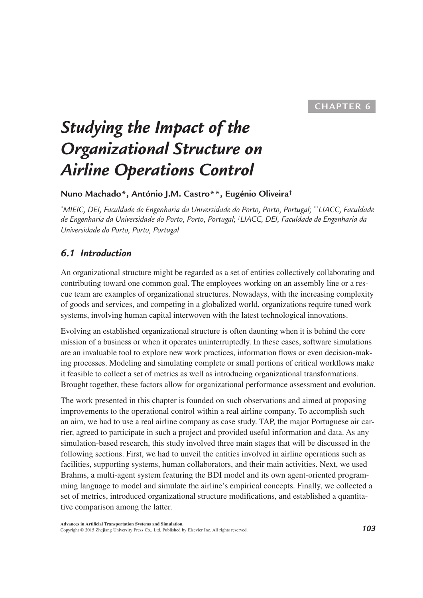#### **CHAPTER 6**

# *Studying the Impact of the Organizational Structure on Airline Operations Control*

#### **Nuno Machado\*, António J.M. Castro\*\*, Eugénio Oliveira†**

*\* MIEIC, DEI, Faculdade de Engenharia da Universidade do Porto, Porto, Portugal; \*\*LIACC, Faculdade de Engenharia da Universidade do Porto, Porto, Portugal; † LIACC, DEI, Faculdade de Engenharia da Universidade do Porto, Porto, Portugal*

### *6.1 Introduction*

An organizational structure might be regarded as a set of entities collectively collaborating and contributing toward one common goal. The employees working on an assembly line or a rescue team are examples of organizational structures. Nowadays, with the increasing complexity of goods and services, and competing in a globalized world, organizations require tuned work systems, involving human capital interwoven with the latest technological innovations.

Evolving an established organizational structure is often daunting when it is behind the core mission of a business or when it operates uninterruptedly. In these cases, software simulations are an invaluable tool to explore new work practices, information flows or even decision-making processes. Modeling and simulating complete or small portions of critical workflows make it feasible to collect a set of metrics as well as introducing organizational transformations. Brought together, these factors allow for organizational performance assessment and evolution.

The work presented in this chapter is founded on such observations and aimed at proposing improvements to the operational control within a real airline company. To accomplish such an aim, we had to use a real airline company as case study. TAP, the major Portuguese air carrier, agreed to participate in such a project and provided useful information and data. As any simulation-based research, this study involved three main stages that will be discussed in the following sections. First, we had to unveil the entities involved in airline operations such as facilities, supporting systems, human collaborators, and their main activities. Next, we used Brahms, a multi-agent system featuring the BDI model and its own agent-oriented programming language to model and simulate the airline's empirical concepts. Finally, we collected a set of metrics, introduced organizational structure modifications, and established a quantitative comparison among the latter.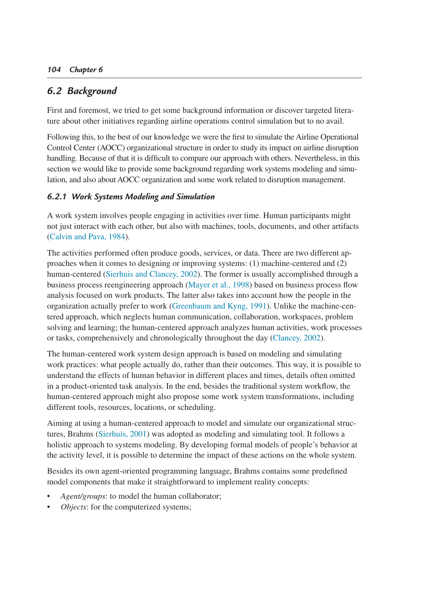# *6.2 Background*

First and foremost, we tried to get some background information or discover targeted literature about other initiatives regarding airline operations control simulation but to no avail.

Following this, to the best of our knowledge we were the first to simulate the Airline Operational Control Center (AOCC) organizational structure in order to study its impact on airline disruption handling. Because of that it is difficult to compare our approach with others. Nevertheless, in this section we would like to provide some background regarding work systems modeling and simulation, and also about AOCC organization and some work related to disruption management.

#### *6.2.1 Work Systems Modeling and Simulation*

A work system involves people engaging in activities over time. Human participants might not just interact with each other, but also with machines, tools, documents, and other artifacts (Calvin and Pava, 1984).

The activities performed often produce goods, services, or data. There are two different approaches when it comes to designing or improving systems:  $(1)$  machine-centered and  $(2)$ human-centered (Sierhuis and Clancey, 2002). The former is usually accomplished through a business process reengineering approach (Mayer et al., 1998) based on business process flow analysis focused on work products. The latter also takes into account how the people in the organization actually prefer to work (Greenbaum and Kyng, 1991). Unlike the machine-centered approach, which neglects human communication, collaboration, workspaces, problem solving and learning; the human-centered approach analyzes human activities, work processes or tasks, comprehensively and chronologically throughout the day (Clancey, 2002).

The human-centered work system design approach is based on modeling and simulating work practices: what people actually do, rather than their outcomes. This way, it is possible to understand the effects of human behavior in different places and times, details often omitted in a product-oriented task analysis. In the end, besides the traditional system workflow, the human-centered approach might also propose some work system transformations, including different tools, resources, locations, or scheduling.

Aiming at using a human-centered approach to model and simulate our organizational structures, Brahms (Sierhuis, 2001) was adopted as modeling and simulating tool. It follows a holistic approach to systems modeling. By developing formal models of people's behavior at the activity level, it is possible to determine the impact of these actions on the whole system.

Besides its own agent-oriented programming language, Brahms contains some predefined model components that make it straightforward to implement reality concepts:

- *Agent/groups*: to model the human collaborator;
- *Objects*: for the computerized systems;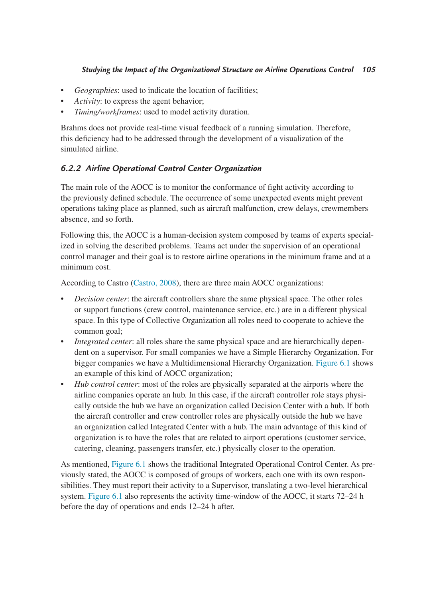- *Geographies*: used to indicate the location of facilities;
- *Activity*: to express the agent behavior;
- *Timing/workframes*: used to model activity duration.

Brahms does not provide real-time visual feedback of a running simulation. Therefore, this deficiency had to be addressed through the development of a visualization of the simulated airline.

### *6.2.2 Airline Operational Control Center Organization*

The main role of the AOCC is to monitor the conformance of fight activity according to the previously defined schedule. The occurrence of some unexpected events might prevent operations taking place as planned, such as aircraft malfunction, crew delays, crewmembers absence, and so forth.

Following this, the AOCC is a human-decision system composed by teams of experts specialized in solving the described problems. Teams act under the supervision of an operational control manager and their goal is to restore airline operations in the minimum frame and at a minimum cost.

According to Castro (Castro, 2008), there are three main AOCC organizations:

- *Decision center*: the aircraft controllers share the same physical space. The other roles or support functions (crew control, maintenance service, etc.) are in a different physical space. In this type of Collective Organization all roles need to cooperate to achieve the common goal:
- *Integrated center*: all roles share the same physical space and are hierarchically dependent on a supervisor. For small companies we have a Simple Hierarchy Organization. For bigger companies we have a Multidimensional Hierarchy Organization. Figure 6.1 shows an example of this kind of AOCC organization;
- *Hub control center*: most of the roles are physically separated at the airports where the airline companies operate an hub. In this case, if the aircraft controller role stays physically outside the hub we have an organization called Decision Center with a hub. If both the aircraft controller and crew controller roles are physically outside the hub we have an organization called Integrated Center with a hub. The main advantage of this kind of organization is to have the roles that are related to airport operations (customer service, catering, cleaning, passengers transfer, etc.) physically closer to the operation.

As mentioned, Figure 6.1 shows the traditional Integrated Operational Control Center. As previously stated, the AOCC is composed of groups of workers, each one with its own responsibilities. They must report their activity to a Supervisor, translating a two-level hierarchical system. Figure 6.1 also represents the activity time-window of the AOCC, it starts  $72-24$  h before the day of operations and ends 12–24 h after.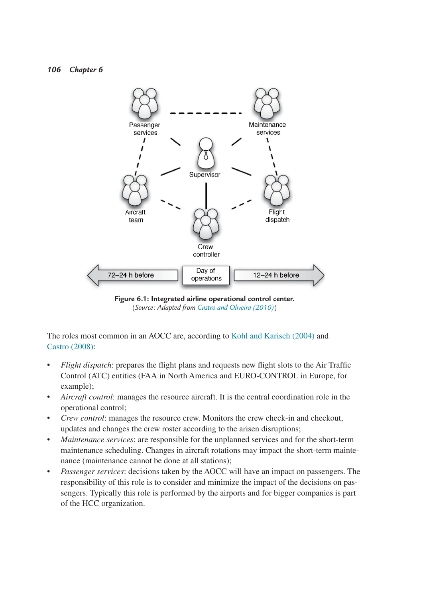

**Figure 6.1: Integrated airline operational control center.** (*Source*: *Adapted from Castro and Oliveira (2010)*)

The roles most common in an AOCC are, according to Kohl and Karisch (2004) and Castro (2008):

- *Flight dispatch*: prepares the flight plans and requests new flight slots to the Air Traffic Control (ATC) entities (FAA in North America and EURO-CONTROL in Europe, for example);
- *Aircraft control:* manages the resource aircraft. It is the central coordination role in the operational control;
- *Crew control*: manages the resource crew. Monitors the crew check-in and checkout, updates and changes the crew roster according to the arisen disruptions;
- *Maintenance services*: are responsible for the unplanned services and for the short-term maintenance scheduling. Changes in aircraft rotations may impact the short-term maintenance (maintenance cannot be done at all stations);
- *Passenger services*: decisions taken by the AOCC will have an impact on passengers. The responsibility of this role is to consider and minimize the impact of the decisions on passengers. Typically this role is performed by the airports and for bigger companies is part of the HCC organization.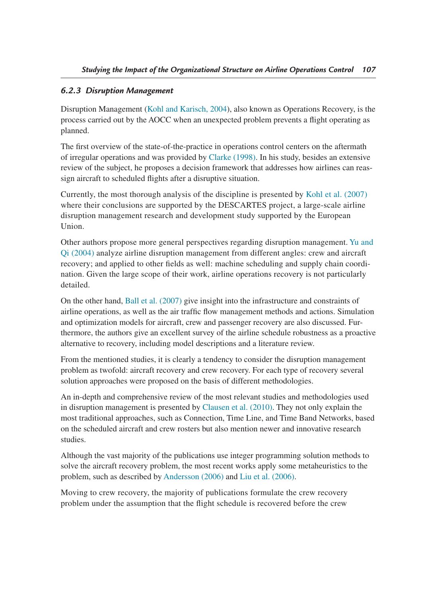### *6.2.3 Disruption Management*

Disruption Management (Kohl and Karisch, 2004), also known as Operations Recovery, is the process carried out by the AOCC when an unexpected problem prevents a flight operating as planned.

The first overview of the state-of-the-practice in operations control centers on the aftermath of irregular operations and was provided by Clarke (1998). In his study, besides an extensive review of the subject, he proposes a decision framework that addresses how airlines can reassign aircraft to scheduled flights after a disruptive situation.

Currently, the most thorough analysis of the discipline is presented by Kohl et al. (2007) where their conclusions are supported by the DESCARTES project, a large-scale airline disruption management research and development study supported by the European Union.

Other authors propose more general perspectives regarding disruption management. Yu and Oi (2004) analyze airline disruption management from different angles: crew and aircraft recovery; and applied to other fields as well: machine scheduling and supply chain coordination. Given the large scope of their work, airline operations recovery is not particularly detailed

On the other hand, Ball et al. (2007) give insight into the infrastructure and constraints of airline operations, as well as the air traffic flow management methods and actions. Simulation and optimization models for aircraft, crew and passenger recovery are also discussed. Furthermore, the authors give an excellent survey of the airline schedule robustness as a proactive alternative to recovery, including model descriptions and a literature review.

From the mentioned studies, it is clearly a tendency to consider the disruption management problem as twofold: aircraft recovery and crew recovery. For each type of recovery several solution approaches were proposed on the basis of different methodologies.

An in-depth and comprehensive review of the most relevant studies and methodologies used in disruption management is presented by Clausen et al.  $(2010)$ . They not only explain the most traditional approaches, such as Connection, Time Line, and Time Band Networks, based on the scheduled aircraft and crew rosters but also mention newer and innovative research studies.

Although the vast majority of the publications use integer programming solution methods to solve the aircraft recovery problem, the most recent works apply some metaheuristics to the problem, such as described by Andersson  $(2006)$  and Liu et al.  $(2006)$ .

Moving to crew recovery, the majority of publications formulate the crew recovery problem under the assumption that the flight schedule is recovered before the crew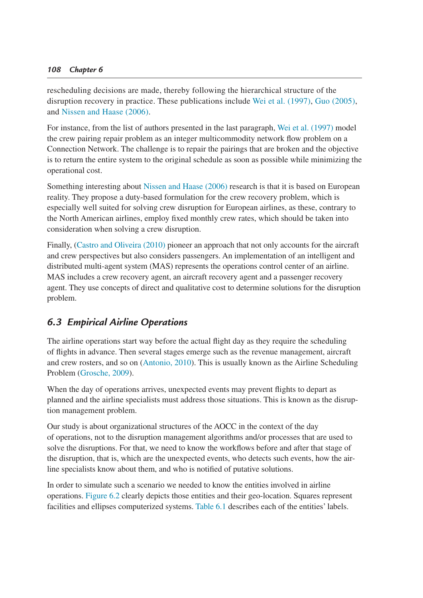rescheduling decisions are made, thereby following the hierarchical structure of the disruption recovery in practice. These publications include Wei et al. (1997), Guo (2005), and Nissen and Haase (2006).

For instance, from the list of authors presented in the last paragraph, Wei et al. (1997) model the crew pairing repair problem as an integer multicommodity network flow problem on a Connection Network. The challenge is to repair the pairings that are broken and the objective is to return the entire system to the original schedule as soon as possible while minimizing the operational cost.

Something interesting about Nissen and Haase (2006) research is that it is based on European reality. They propose a duty-based formulation for the crew recovery problem, which is especially well suited for solving crew disruption for European airlines, as these, contrary to the North American airlines, employ fixed monthly crew rates, which should be taken into consideration when solving a crew disruption.

Finally, (Castro and Oliveira (2010) pioneer an approach that not only accounts for the aircraft and crew perspectives but also considers passengers. An implementation of an intelligent and distributed multi-agent system (MAS) represents the operations control center of an airline. MAS includes a crew recovery agent, an aircraft recovery agent and a passenger recovery agent. They use concepts of direct and qualitative cost to determine solutions for the disruption problem.

# *6.3 Empirical Airline Operations*

The airline operations start way before the actual flight day as they require the scheduling of flights in advance. Then several stages emerge such as the revenue management, aircraft and crew rosters, and so on (Antonio, 2010). This is usually known as the Airline Scheduling Problem (Grosche, 2009).

When the day of operations arrives, unexpected events may prevent flights to depart as planned and the airline specialists must address those situations. This is known as the disruption management problem.

Our study is about organizational structures of the AOCC in the context of the day of operations, not to the disruption management algorithms and/or processes that are used to solve the disruptions. For that, we need to know the workflows before and after that stage of the disruption, that is, which are the unexpected events, who detects such events, how the airline specialists know about them, and who is notified of putative solutions.

In order to simulate such a scenario we needed to know the entities involved in airline operations. Figure 6.2 clearly depicts those entities and their geo-location. Squares represent facilities and ellipses computerized systems. Table 6.1 describes each of the entities' labels.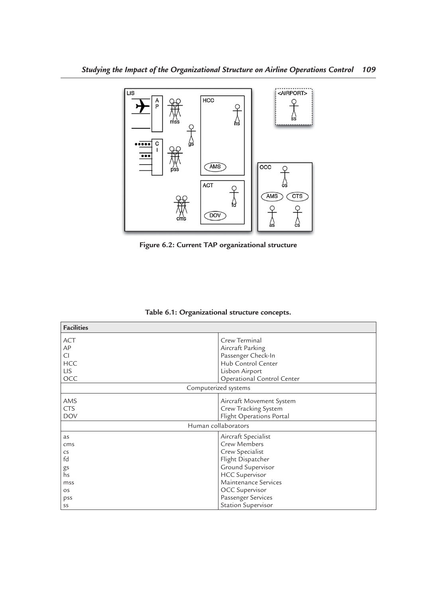

**Figure 6.2: Current TAP organizational structure**

|  | Table 6.1: Organizational structure concepts. |  |  |
|--|-----------------------------------------------|--|--|
|--|-----------------------------------------------|--|--|

| <b>Facilities</b>    |                            |  |  |  |
|----------------------|----------------------------|--|--|--|
| <b>ACT</b>           | Crew Terminal              |  |  |  |
| AP                   | Aircraft Parking           |  |  |  |
| Cl                   | Passenger Check-In         |  |  |  |
| <b>HCC</b>           | Hub Control Center         |  |  |  |
| <b>LIS</b>           | Lisbon Airport             |  |  |  |
| OCC                  | Operational Control Center |  |  |  |
| Computerized systems |                            |  |  |  |
| AMS                  | Aircraft Movement System   |  |  |  |
| <b>CTS</b>           | Crew Tracking System       |  |  |  |
| <b>DOV</b>           | Flight Operations Portal   |  |  |  |
| Human collaborators  |                            |  |  |  |
| as                   | Aircraft Specialist        |  |  |  |
| cms                  | <b>Crew Members</b>        |  |  |  |
| <b>CS</b>            | Crew Specialist            |  |  |  |
| fd                   | Flight Dispatcher          |  |  |  |
| gs                   | Ground Supervisor          |  |  |  |
| hs                   | <b>HCC Supervisor</b>      |  |  |  |
| mss                  | Maintenance Services       |  |  |  |
| <b>OS</b>            | <b>OCC</b> Supervisor      |  |  |  |
| pss                  | Passenger Services         |  |  |  |
| SS                   | <b>Station Supervisor</b>  |  |  |  |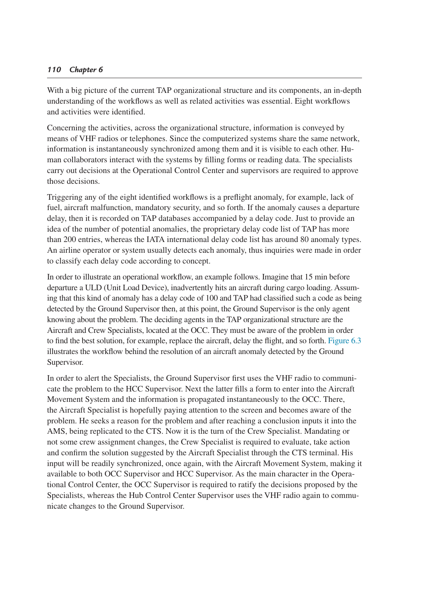With a big picture of the current TAP organizational structure and its components, an in-depth understanding of the workflows as well as related activities was essential. Eight workflows and activities were identified.

Concerning the activities, across the organizational structure, information is conveyed by means of VHF radios or telephones. Since the computerized systems share the same network, information is instantaneously synchronized among them and it is visible to each other. Human collaborators interact with the systems by filling forms or reading data. The specialists carry out decisions at the Operational Control Center and supervisors are required to approve those decisions.

Triggering any of the eight identified workflows is a preflight anomaly, for example, lack of fuel, aircraft malfunction, mandatory security, and so forth. If the anomaly causes a departure delay, then it is recorded on TAP databases accompanied by a delay code. Just to provide an idea of the number of potential anomalies, the proprietary delay code list of TAP has more than 200 entries, whereas the IATA international delay code list has around 80 anomaly types. An airline operator or system usually detects each anomaly, thus inquiries were made in order to classify each delay code according to concept.

In order to illustrate an operational workflow, an example follows. Imagine that 15 min before departure a ULD (Unit Load Device), inadvertently hits an aircraft during cargo loading. Assuming that this kind of anomaly has a delay code of 100 and TAP had classified such a code as being detected by the Ground Supervisor then, at this point, the Ground Supervisor is the only agent knowing about the problem. The deciding agents in the TAP organizational structure are the Aircraft and Crew Specialists, located at the OCC. They must be aware of the problem in order to find the best solution, for example, replace the aircraft, delay the flight, and so forth. Figure 6.3 illustrates the workflow behind the resolution of an aircraft anomaly detected by the Ground Supervisor.

In order to alert the Specialists, the Ground Supervisor first uses the VHF radio to communicate the problem to the HCC Supervisor. Next the latter fills a form to enter into the Aircraft Movement System and the information is propagated instantaneously to the OCC. There, the Aircraft Specialist is hopefully paying attention to the screen and becomes aware of the problem. He seeks a reason for the problem and after reaching a conclusion inputs it into the AMS, being replicated to the CTS. Now it is the turn of the Crew Specialist. Mandating or not some crew assignment changes, the Crew Specialist is required to evaluate, take action and confirm the solution suggested by the Aircraft Specialist through the CTS terminal. His input will be readily synchronized, once again, with the Aircraft Movement System, making it available to both OCC Supervisor and HCC Supervisor. As the main character in the Operational Control Center, the OCC Supervisor is required to ratify the decisions proposed by the Specialists, whereas the Hub Control Center Supervisor uses the VHF radio again to communicate changes to the Ground Supervisor.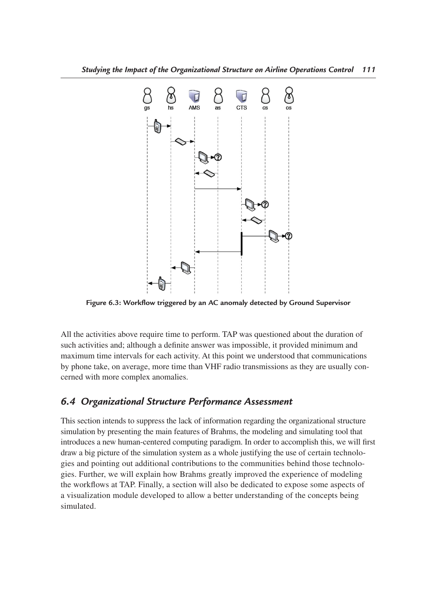

Figure 6.3: Workflow triggered by an AC anomaly detected by Ground Supervisor

All the activities above require time to perform. TAP was questioned about the duration of such activities and; although a definite answer was impossible, it provided minimum and maximum time intervals for each activity. At this point we understood that communications by phone take, on average, more time than VHF radio transmissions as they are usually concerned with more complex anomalies.

# 6.4 Organizational Structure Performance Assessment

This section intends to suppress the lack of information regarding the organizational structure simulation by presenting the main features of Brahms, the modeling and simulating tool that introduces a new human-centered computing paradigm. In order to accomplish this, we will first draw a big picture of the simulation system as a whole justifying the use of certain technologies and pointing out additional contributions to the communities behind those technologies. Further, we will explain how Brahms greatly improved the experience of modeling the workflows at TAP. Finally, a section will also be dedicated to expose some aspects of a visualization module developed to allow a better understanding of the concepts being simulated.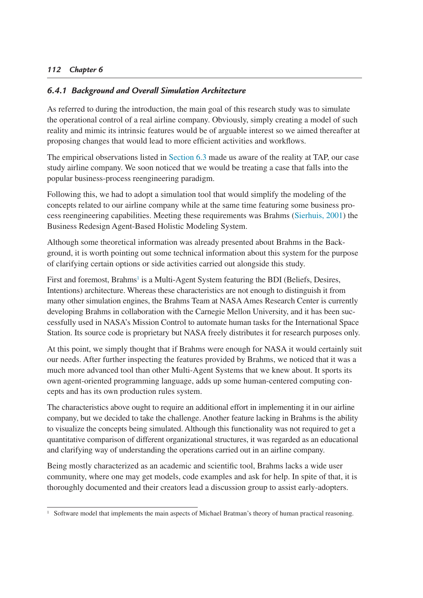### 6.4.1 Background and Overall Simulation Architecture

As referred to during the introduction, the main goal of this research study was to simulate the operational control of a real airline company. Obviously, simply creating a model of such reality and mimic its intrinsic features would be of arguable interest so we aimed thereafter at proposing changes that would lead to more efficient activities and workflows.

The empirical observations listed in Section 6.3 made us aware of the reality at TAP, our case study airline company. We soon noticed that we would be treating a case that falls into the popular business-process reengineering paradigm.

Following this, we had to adopt a simulation tool that would simplify the modeling of the concepts related to our airline company while at the same time featuring some business process reengineering capabilities. Meeting these requirements was Brahms (Sierhuis, 2001) the Business Redesign Agent-Based Holistic Modeling System.

Although some theoretical information was already presented about Brahms in the Background, it is worth pointing out some technical information about this system for the purpose of clarifying certain options or side activities carried out alongside this study.

First and foremost, Brahms<sup>1</sup> is a Multi-Agent System featuring the BDI (Beliefs, Desires, Intentions) architecture. Whereas these characteristics are not enough to distinguish it from many other simulation engines, the Brahms Team at NASA Ames Research Center is currently developing Brahms in collaboration with the Carnegie Mellon University, and it has been successfully used in NASA's Mission Control to automate human tasks for the International Space Station. Its source code is proprietary but NASA freely distributes it for research purposes only.

At this point, we simply thought that if Brahms were enough for NASA it would certainly suit our needs. After further inspecting the features provided by Brahms, we noticed that it was a much more advanced tool than other Multi-Agent Systems that we knew about. It sports its own agent-oriented programming language, adds up some human-centered computing concepts and has its own production rules system.

The characteristics above ought to require an additional effort in implementing it in our airline company, but we decided to take the challenge. Another feature lacking in Brahms is the ability to visualize the concepts being simulated. Although this functionality was not required to get a quantitative comparison of different organizational structures, it was regarded as an educational and clarifying way of understanding the operations carried out in an airline company.

Being mostly characterized as an academic and scientific tool, Brahms lacks a wide user community, where one may get models, code examples and ask for help. In spite of that, it is thoroughly documented and their creators lead a discussion group to assist early-adopters.

<sup>&</sup>lt;sup>1</sup> Software model that implements the main aspects of Michael Bratman's theory of human practical reasoning.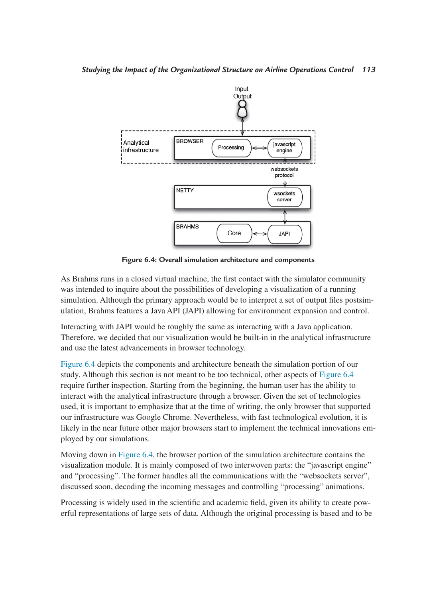

Figure 6.4: Overall simulation architecture and components

As Brahms runs in a closed virtual machine, the first contact with the simulator community was intended to inquire about the possibilities of developing a visualization of a running simulation. Although the primary approach would be to interpret a set of output files postsimulation, Brahms features a Java API (JAPI) allowing for environment expansion and control.

Interacting with JAPI would be roughly the same as interacting with a Java application. Therefore, we decided that our visualization would be built-in in the analytical infrastructure and use the latest advancements in browser technology.

Figure 6.4 depicts the components and architecture beneath the simulation portion of our study. Although this section is not meant to be too technical, other aspects of Figure 6.4 require further inspection. Starting from the beginning, the human user has the ability to interact with the analytical infrastructure through a browser. Given the set of technologies used, it is important to emphasize that at the time of writing, the only browser that supported our infrastructure was Google Chrome. Nevertheless, with fast technological evolution, it is likely in the near future other major browsers start to implement the technical innovations employed by our simulations.

Moving down in Figure 6.4, the browser portion of the simulation architecture contains the visualization module. It is mainly composed of two interwoven parts: the "javascript engine" and "processing". The former handles all the communications with the "websockets server", discussed soon, decoding the incoming messages and controlling "processing" animations.

Processing is widely used in the scientific and academic field, given its ability to create powerful representations of large sets of data. Although the original processing is based and to be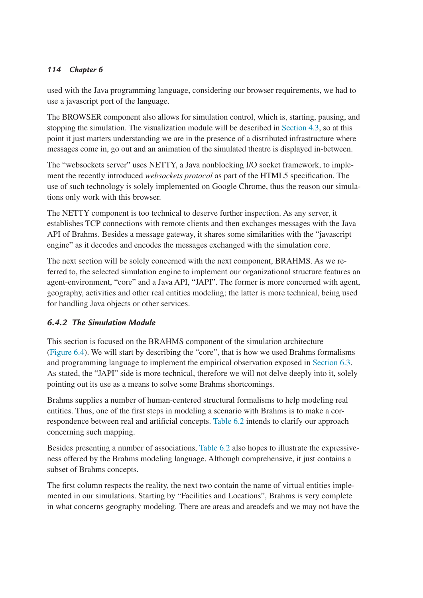used with the Java programming language, considering our browser requirements, we had to use a javascript port of the language.

The BROWSER component also allows for simulation control, which is, starting, pausing, and stopping the simulation. The visualization module will be described in Section 4.3, so at this point it just matters understanding we are in the presence of a distributed infrastructure where messages come in, go out and an animation of the simulated theatre is displayed in-between.

The "websockets server" uses NETTY, a Java nonblocking I/O socket framework, to implement the recently introduced websockets protocol as part of the HTML5 specification. The use of such technology is solely implemented on Google Chrome, thus the reason our simulations only work with this browser.

The NETTY component is too technical to deserve further inspection. As any server, it establishes TCP connections with remote clients and then exchanges messages with the Java API of Brahms. Besides a message gateway, it shares some similarities with the "javascript" engine" as it decodes and encodes the messages exchanged with the simulation core.

The next section will be solely concerned with the next component, BRAHMS. As we referred to, the selected simulation engine to implement our organizational structure features an agent-environment, "core" and a Java API, "JAPI". The former is more concerned with agent, geography, activities and other real entities modeling; the latter is more technical, being used for handling Java objects or other services.

#### 6.4.2 The Simulation Module

This section is focused on the BRAHMS component of the simulation architecture (Figure 6.4). We will start by describing the "core", that is how we used Brahms formalisms and programming language to implement the empirical observation exposed in Section 6.3. As stated, the "JAPI" side is more technical, therefore we will not delve deeply into it, solely pointing out its use as a means to solve some Brahms shortcomings.

Brahms supplies a number of human-centered structural formalisms to help modeling real entities. Thus, one of the first steps in modeling a scenario with Brahms is to make a correspondence between real and artificial concepts. Table 6.2 intends to clarify our approach concerning such mapping.

Besides presenting a number of associations, Table 6.2 also hopes to illustrate the expressiveness offered by the Brahms modeling language. Although comprehensive, it just contains a subset of Brahms concepts.

The first column respects the reality, the next two contain the name of virtual entities implemented in our simulations. Starting by "Facilities and Locations", Brahms is very complete in what concerns geography modeling. There are areas and areadefs and we may not have the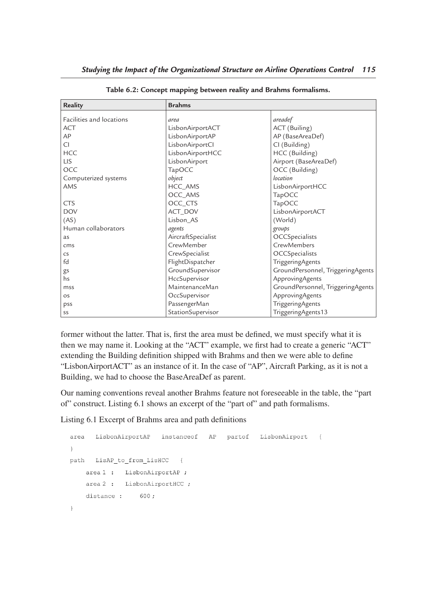| <b>Reality</b>           | <b>Brahms</b>      |                                   |  |
|--------------------------|--------------------|-----------------------------------|--|
| Facilities and locations | area               | areadef                           |  |
| <b>ACT</b>               | LisbonAirportACT   | ACT (Builing)                     |  |
| AP                       | LisbonAirportAP    | AP (BaseAreaDef)                  |  |
| Cl                       | LisbonAirportCl    | CI (Building)                     |  |
| <b>HCC</b>               | LisbonAirportHCC   | HCC (Building)                    |  |
| <b>LIS</b>               | LisbonAirport      | Airport (BaseAreaDef)             |  |
| OCC                      | TapOCC             | OCC (Building)                    |  |
| Computerized systems     | object             | location                          |  |
| AMS                      | HCC_AMS            | LisbonAirportHCC                  |  |
|                          | OCC_AMS            | <b>TapOCC</b>                     |  |
| <b>CTS</b>               | OCC_CTS            | TapOCC                            |  |
| <b>DOV</b>               | ACT_DOV            | LisbonAirportACT                  |  |
| (AS)                     | Lisbon_AS          | (World)                           |  |
| Human collaborators      |                    |                                   |  |
|                          | agents             | groups                            |  |
| as                       | AircraftSpecialist | OCCSpecialists                    |  |
| cms                      | CrewMember         | CrewMembers                       |  |
| <b>CS</b>                | CrewSpecialist     | OCCSpecialists                    |  |
| fd                       | FlightDispatcher   | <b>TriggeringAgents</b>           |  |
| gs                       | GroundSupervisor   | GroundPersonnel, TriggeringAgents |  |
| hs                       | HccSupervisor      | ApprovingAgents                   |  |
| mss                      | MaintenanceMan     | GroundPersonnel, TriggeringAgents |  |
| <b>OS</b>                | OccSupervisor      | ApprovingAgents                   |  |
| pss                      | PassengerMan       | <b>TriggeringAgents</b>           |  |
| SS                       | StationSupervisor  | TriggeringAgents13                |  |

Table 6.2: Concept mapping between reality and Brahms formalisms.

former without the latter. That is, first the area must be defined, we must specify what it is then we may name it. Looking at the "ACT" example, we first had to create a generic "ACT" extending the Building definition shipped with Brahms and then we were able to define "LisbonAirportACT" as an instance of it. In the case of "AP", Aircraft Parking, as it is not a Building, we had to choose the BaseAreaDef as parent.

Our naming conventions reveal another Brahms feature not foreseeable in the table, the "part of" construct. Listing 6.1 shows an excerpt of the "part of" and path formalisms.

Listing 6.1 Excerpt of Brahms area and path definitions

```
area
        LisbonAirportAP
                              instanceof
                                             AP partof
                                                              LisbonAirport
                                                                                \left\{\right\}\overline{\phantom{a}}LisAP to from LisHCC
path
                                    \left\{ \right.area 1 : LisbonAirportAP ;
     area 2 : LisbonAirportHCC ;
     distance: 600;\}
```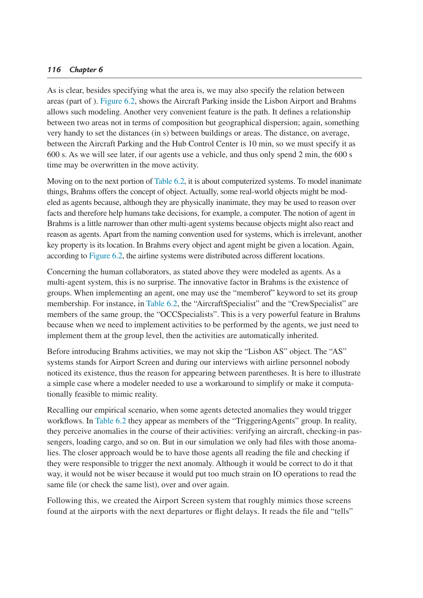As is clear, besides specifying what the area is, we may also specify the relation between areas (part of). Figure 6.2, shows the Aircraft Parking inside the Lisbon Airport and Brahms allows such modeling. Another very convenient feature is the path. It defines a relationship between two areas not in terms of composition but geographical dispersion; again, something very handy to set the distances (in s) between buildings or areas. The distance, on average, between the Aircraft Parking and the Hub Control Center is 10 min, so we must specify it as 600 s. As we will see later, if our agents use a vehicle, and thus only spend 2 min, the 600 s time may be overwritten in the move activity.

Moving on to the next portion of Table 6.2, it is about computerized systems. To model inanimate things, Brahms offers the concept of object. Actually, some real-world objects might be modeled as agents because, although they are physically inanimate, they may be used to reason over facts and therefore help humans take decisions, for example, a computer. The notion of agent in Brahms is a little narrower than other multi-agent systems because objects might also react and reason as agents. Apart from the naming convention used for systems, which is irrelevant, another key property is its location. In Brahms every object and agent might be given a location. Again, according to Figure 6.2, the airline systems were distributed across different locations.

Concerning the human collaborators, as stated above they were modeled as agents. As a multi-agent system, this is no surprise. The innovative factor in Brahms is the existence of groups. When implementing an agent, one may use the "member of" keyword to set its group membership. For instance, in Table 6.2, the "AircraftSpecialist" and the "CrewSpecialist" are members of the same group, the "OCCSpecialists". This is a very powerful feature in Brahms because when we need to implement activities to be performed by the agents, we just need to implement them at the group level, then the activities are automatically inherited.

Before introducing Brahms activities, we may not skip the "Lisbon AS" object. The "AS" systems stands for Airport Screen and during our interviews with airline personnel nobody noticed its existence, thus the reason for appearing between parentheses. It is here to illustrate a simple case where a modeler needed to use a workaround to simplify or make it computationally feasible to mimic reality.

Recalling our empirical scenario, when some agents detected anomalies they would trigger workflows. In Table 6.2 they appear as members of the "TriggeringAgents" group. In reality, they perceive anomalies in the course of their activities: verifying an aircraft, checking-in passengers, loading cargo, and so on. But in our simulation we only had files with those anomalies. The closer approach would be to have those agents all reading the file and checking if they were responsible to trigger the next anomaly. Although it would be correct to do it that way, it would not be wiser because it would put too much strain on IO operations to read the same file (or check the same list), over and over again.

Following this, we created the Airport Screen system that roughly mimics those screens found at the airports with the next departures or flight delays. It reads the file and "tells"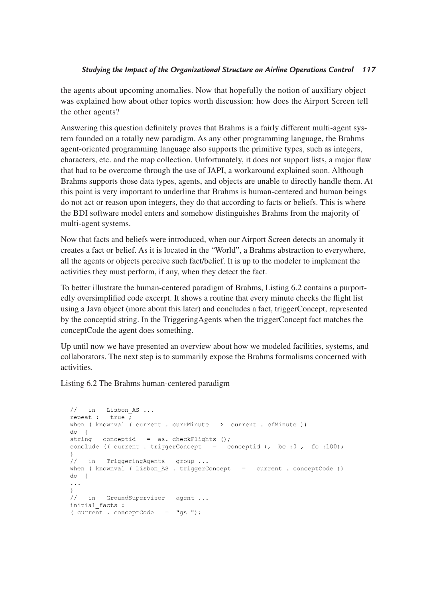the agents about upcoming anomalies. Now that hopefully the notion of auxiliary object was explained how about other topics worth discussion: how does the Airport Screen tell the other agents?

Answering this question definitely proves that Brahms is a fairly different multi-agent system founded on a totally new paradigm. As any other programming language, the Brahms agent-oriented programming language also supports the primitive types, such as integers, characters, etc. and the map collection. Unfortunately, it does not support lists, a major flaw that had to be overcome through the use of JAPI, a workaround explained soon. Although Brahms supports those data types, agents, and objects are unable to directly handle them. At this point is very important to underline that Brahms is human-centered and human beings do not act or reason upon integers, they do that according to facts or beliefs. This is where the BDI software model enters and somehow distinguishes Brahms from the majority of multi-agent systems.

Now that facts and beliefs were introduced, when our Airport Screen detects an anomaly it creates a fact or belief. As it is located in the "World", a Brahms abstraction to everywhere, all the agents or objects perceive such fact/belief. It is up to the modeler to implement the activities they must perform, if any, when they detect the fact.

To better illustrate the human-centered paradigm of Brahms, Listing 6.2 contains a purportedly oversimplified code excerpt. It shows a routine that every minute checks the flight list using a Java object (more about this later) and concludes a fact, triggerConcept, represented by the conceptid string. In the TriggeringAgents when the triggerConcept fact matches the conceptCode the agent does something.

Up until now we have presented an overview about how we modeled facilities, systems, and collaborators. The next step is to summarily expose the Brahms formalisms concerned with activities

Listing 6.2 The Brahms human-centered paradigm

```
// in Lisbon AS ...
repeated: true:when ( knownval ( current . currMinute \rightarrow current . cfMinute ))
do \quad{
string conceptid = as. checkFlights ();
conclude (( current . triggerConcept = conceptid ), bc : 0 , fc : 100);
// in TriggeringAgents group ...
when ( knownval ( Lisbon AS . triggerConcept = current . conceptCode ) )
do \t{}\ldots\rightarrow// in GroundSupervisor agent ...
initial facts :
( current . conceptCode = "gs");
```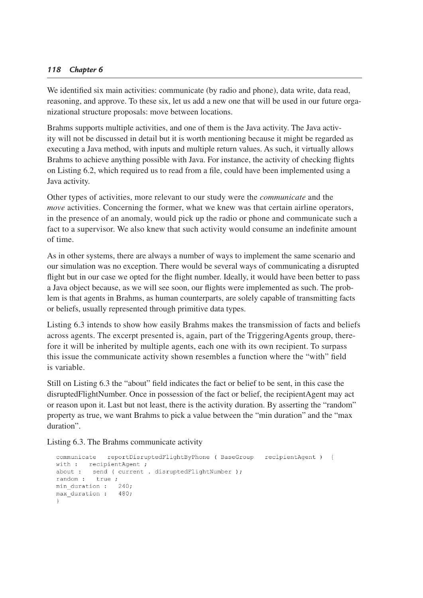We identified six main activities: communicate (by radio and phone), data write, data read, reasoning, and approve. To these six, let us add a new one that will be used in our future organizational structure proposals: move between locations.

Brahms supports multiple activities, and one of them is the Java activity. The Java activity will not be discussed in detail but it is worth mentioning because it might be regarded as executing a Java method, with inputs and multiple return values. As such, it virtually allows Brahms to achieve anything possible with Java. For instance, the activity of checking flights on Listing 6.2, which required us to read from a file, could have been implemented using a Java activity.

Other types of activities, more relevant to our study were the *communicate* and the *move* activities. Concerning the former, what we knew was that certain airline operators, in the presence of an anomaly, would pick up the radio or phone and communicate such a fact to a supervisor. We also knew that such activity would consume an indefinite amount of time.

As in other systems, there are always a number of ways to implement the same scenario and our simulation was no exception. There would be several ways of communicating a disrupted flight but in our case we opted for the flight number. Ideally, it would have been better to pass a Java object because, as we will see soon, our flights were implemented as such. The problem is that agents in Brahms, as human counterparts, are solely capable of transmitting facts or beliefs, usually represented through primitive data types.

Listing 6.3 intends to show how easily Brahms makes the transmission of facts and beliefs across agents. The excerpt presented is, again, part of the TriggeringAgents group, therefore it will be inherited by multiple agents, each one with its own recipient. To surpass this issue the communicate activity shown resembles a function where the "with" field is variable

Still on Listing 6.3 the "about" field indicates the fact or belief to be sent, in this case the disrupted FlightNumber. Once in possession of the fact or belief, the recipient Agent may act or reason upon it. Last but not least, there is the activity duration. By asserting the "random" property as true, we want Brahms to pick a value between the "min duration" and the "max" duration".

Listing 6.3. The Brahms communicate activity

```
reportDisruptedFlightByPhone (BaseGroup recipientAgent) {
communicate
with : recipientAgent ;
about : send ( current . disruptedFlightNumber ) ;
random : true ;
min_duration : 240;<br>max_duration : 480;
- }
```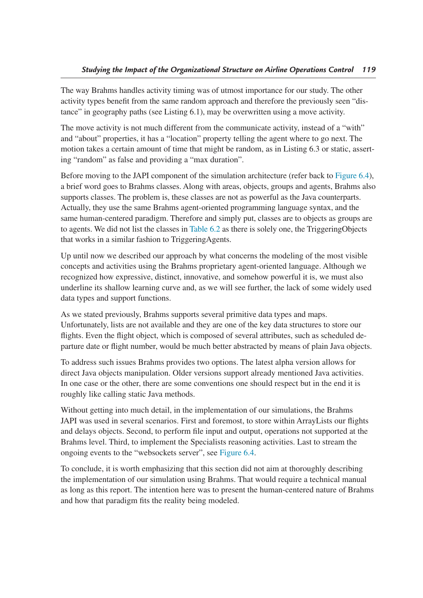The way Brahms handles activity timing was of utmost importance for our study. The other activity types benefit from the same random approach and therefore the previously seen "distance" in geography paths (see Listing 6.1), may be overwritten using a move activity.

The move activity is not much different from the communicate activity, instead of a "with" and "about" properties, it has a "location" property telling the agent where to go next. The motion takes a certain amount of time that might be random, as in Listing 6.3 or static, asserting "random" as false and providing a "max duration".

Before moving to the JAPI component of the simulation architecture (refer back to Figure 6.4), a brief word goes to Brahms classes. Along with areas, objects, groups and agents, Brahms also supports classes. The problem is, these classes are not as powerful as the Java counterparts. Actually, they use the same Brahms agent-oriented programming language syntax, and the same human-centered paradigm. Therefore and simply put, classes are to objects as groups are to agents. We did not list the classes in Table 6.2 as there is solely one, the TriggeringObjects that works in a similar fashion to TriggeringAgents.

Up until now we described our approach by what concerns the modeling of the most visible concepts and activities using the Brahms proprietary agent-oriented language. Although we recognized how expressive, distinct, innovative, and somehow powerful it is, we must also underline its shallow learning curve and, as we will see further, the lack of some widely used data types and support functions.

As we stated previously, Brahms supports several primitive data types and maps. Unfortunately, lists are not available and they are one of the key data structures to store our flights. Even the flight object, which is composed of several attributes, such as scheduled departure date or flight number, would be much better abstracted by means of plain Java objects.

To address such issues Brahms provides two options. The latest alpha version allows for direct Java objects manipulation. Older versions support already mentioned Java activities. In one case or the other, there are some conventions one should respect but in the end it is roughly like calling static Java methods.

Without getting into much detail, in the implementation of our simulations, the Brahms JAPI was used in several scenarios. First and foremost, to store within ArrayLists our flights and delays objects. Second, to perform file input and output, operations not supported at the Brahms level. Third, to implement the Specialists reasoning activities. Last to stream the ongoing events to the "websockets server", see Figure 6.4.

To conclude, it is worth emphasizing that this section did not aim at thoroughly describing the implementation of our simulation using Brahms. That would require a technical manual as long as this report. The intention here was to present the human-centered nature of Brahms and how that paradigm fits the reality being modeled.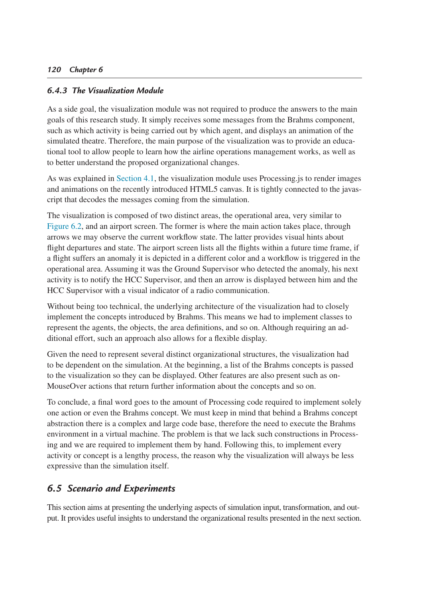#### *6.4.3 The Visualization Module*

As a side goal, the visualization module was not required to produce the answers to the main goals of this research study. It simply receives some messages from the Brahms component, such as which activity is being carried out by which agent, and displays an animation of the simulated theatre. Therefore, the main purpose of the visualization was to provide an educational tool to allow people to learn how the airline operations management works, as well as to better understand the proposed organizational changes.

As was explained in Section 4.1, the visualization module uses Processing. is to render images and animations on the recently introduced HTML5 canvas. It is tightly connected to the javascript that decodes the messages coming from the simulation.

The visualization is composed of two distinct areas, the operational area, very similar to Figure 6.2, and an airport screen. The former is where the main action takes place, through arrows we may observe the current workflow state. The latter provides visual hints about flight departures and state. The airport screen lists all the flights within a future time frame, if a flight suffers an anomaly it is depicted in a different color and a workflow is triggered in the operational area. Assuming it was the Ground Supervisor who detected the anomaly, his next activity is to notify the HCC Supervisor, and then an arrow is displayed between him and the HCC Supervisor with a visual indicator of a radio communication.

Without being too technical, the underlying architecture of the visualization had to closely implement the concepts introduced by Brahms. This means we had to implement classes to represent the agents, the objects, the area definitions, and so on. Although requiring an additional effort, such an approach also allows for a flexible display.

Given the need to represent several distinct organizational structures, the visualization had to be dependent on the simulation. At the beginning, a list of the Brahms concepts is passed to the visualization so they can be displayed. Other features are also present such as on-MouseOver actions that return further information about the concepts and so on.

To conclude, a final word goes to the amount of Processing code required to implement solely one action or even the Brahms concept. We must keep in mind that behind a Brahms concept abstraction there is a complex and large code base, therefore the need to execute the Brahms environment in a virtual machine. The problem is that we lack such constructions in Processing and we are required to implement them by hand. Following this, to implement every activity or concept is a lengthy process, the reason why the visualization will always be less expressive than the simulation itself.

# *6.5 Scenario and Experiments*

This section aims at presenting the underlying aspects of simulation input, transformation, and output. It provides useful insights to understand the organizational results presented in the next section.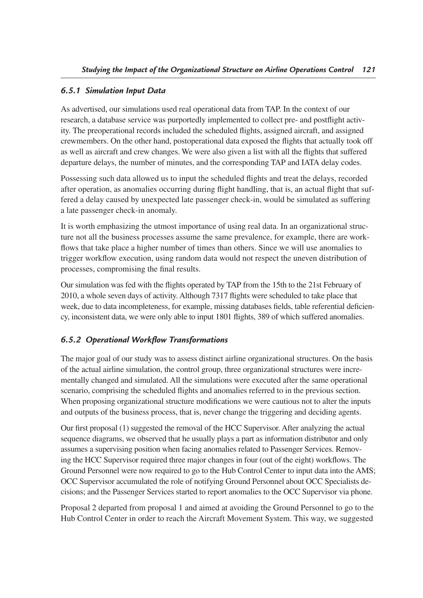#### **6.5.1 Simulation Input Data**

As advertised, our simulations used real operational data from TAP. In the context of our research, a database service was purportedly implemented to collect pre- and postflight activity. The preoperational records included the scheduled flights, assigned aircraft, and assigned crewmembers. On the other hand, postoperational data exposed the flights that actually took off as well as aircraft and crew changes. We were also given a list with all the flights that suffered departure delays, the number of minutes, and the corresponding TAP and IATA delay codes.

Possessing such data allowed us to input the scheduled flights and treat the delays, recorded after operation, as anomalies occurring during flight handling, that is, an actual flight that suffered a delay caused by unexpected late passenger check-in, would be simulated as suffering a late passenger check-in anomaly.

It is worth emphasizing the utmost importance of using real data. In an organizational structure not all the business processes assume the same prevalence, for example, there are workflows that take place a higher number of times than others. Since we will use anomalies to trigger workflow execution, using random data would not respect the uneven distribution of processes, compromising the final results.

Our simulation was fed with the flights operated by TAP from the 15th to the 21st February of 2010, a whole seven days of activity. Although 7317 flights were scheduled to take place that week, due to data incompleteness, for example, missing databases fields, table referential deficiency, inconsistent data, we were only able to input 1801 flights, 389 of which suffered anomalies.

#### **6.5.2 Operational Workflow Transformations**

The major goal of our study was to assess distinct airline organizational structures. On the basis of the actual airline simulation, the control group, three organizational structures were incrementally changed and simulated. All the simulations were executed after the same operational scenario, comprising the scheduled flights and anomalies referred to in the previous section. When proposing organizational structure modifications we were cautious not to alter the inputs and outputs of the business process, that is, never change the triggering and deciding agents.

Our first proposal (1) suggested the removal of the HCC Supervisor. After analyzing the actual sequence diagrams, we observed that he usually plays a part as information distributor and only assumes a supervising position when facing anomalies related to Passenger Services. Removing the HCC Supervisor required three major changes in four (out of the eight) workflows. The Ground Personnel were now required to go to the Hub Control Center to input data into the AMS; OCC Supervisor accumulated the role of notifying Ground Personnel about OCC Specialists decisions; and the Passenger Services started to report anomalies to the OCC Supervisor via phone.

Proposal 2 departed from proposal 1 and aimed at avoiding the Ground Personnel to go to the Hub Control Center in order to reach the Aircraft Movement System. This way, we suggested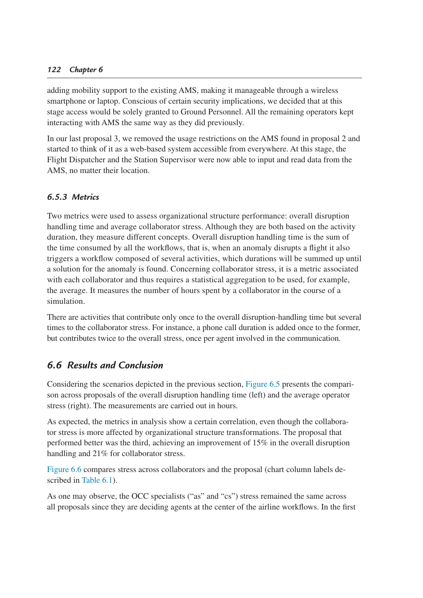adding mobility support to the existing AMS, making it manageable through a wireless smartphone or laptop. Conscious of certain security implications, we decided that at this stage access would be solely granted to Ground Personnel. All the remaining operators kept interacting with AMS the same way as they did previously.

In our last proposal 3, we removed the usage restrictions on the AMS found in proposal 2 and started to think of it as a web-based system accessible from everywhere. At this stage, the Flight Dispatcher and the Station Supervisor were now able to input and read data from the AMS, no matter their location.

#### 6.5.3 Metrics

Two metrics were used to assess organizational structure performance: overall disruption handling time and average collaborator stress. Although they are both based on the activity duration, they measure different concepts. Overall disruption handling time is the sum of the time consumed by all the workflows, that is, when an anomaly disrupts a flight it also triggers a workflow composed of several activities, which durations will be summed up until a solution for the anomaly is found. Concerning collaborator stress, it is a metric associated with each collaborator and thus requires a statistical aggregation to be used, for example, the average. It measures the number of hours spent by a collaborator in the course of a simulation.

There are activities that contribute only once to the overall disruption-handling time but several times to the collaborator stress. For instance, a phone call duration is added once to the former, but contributes twice to the overall stress, once per agent involved in the communication.

# **6.6 Results and Conclusion**

Considering the scenarios depicted in the previous section, Figure 6.5 presents the comparison across proposals of the overall disruption handling time (left) and the average operator stress (right). The measurements are carried out in hours.

As expected, the metrics in analysis show a certain correlation, even though the collaborator stress is more affected by organizational structure transformations. The proposal that performed better was the third, achieving an improvement of 15% in the overall disruption handling and 21% for collaborator stress.

Figure 6.6 compares stress across collaborators and the proposal (chart column labels described in Table  $6.1$ ).

As one may observe, the OCC specialists ("as" and "cs") stress remained the same across all proposals since they are deciding agents at the center of the airline workflows. In the first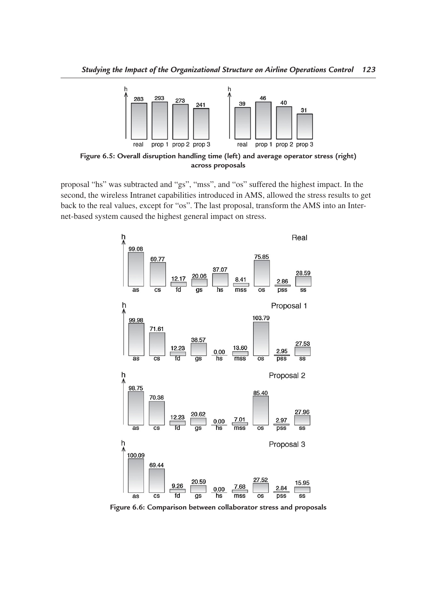

**Figure 6.5: Overall disruption handling time (left) and average operator stress (right) across proposals**

proposal "hs" was subtracted and "gs", "mss", and "os" suffered the highest impact. In the second, the wireless Intranet capabilities introduced in AMS, allowed the stress results to get back to the real values, except for "os". The last proposal, transform the AMS into an Internet-based system caused the highest general impact on stress.



**Figure 6.6: Comparison between collaborator stress and proposals**